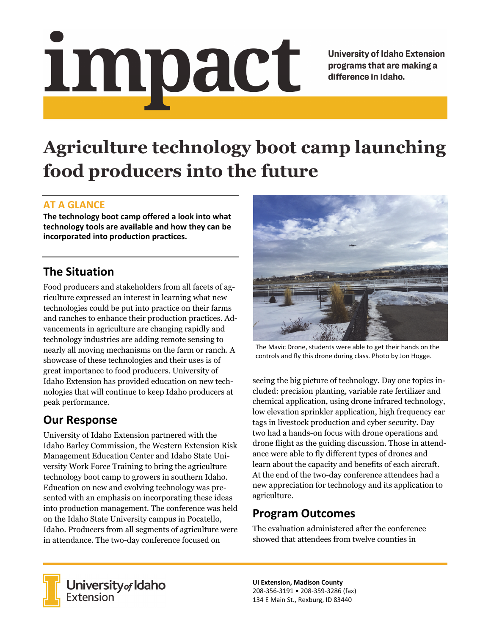# impact

**University of Idaho Extension** programs that are making a difference in Idaho.

# **Agriculture technology boot camp launching food producers into the future**

### **AT A GLANCE**

**The technology boot camp offered a look into what technology tools are available and how they can be incorporated into production practices.**

# **The Situation**

Food producers and stakeholders from all facets of agriculture expressed an interest in learning what new technologies could be put into practice on their farms and ranches to enhance their production practices. Advancements in agriculture are changing rapidly and technology industries are adding remote sensing to nearly all moving mechanisms on the farm or ranch. A showcase of these technologies and their uses is of great importance to food producers. University of Idaho Extension has provided education on new technologies that will continue to keep Idaho producers at peak performance.

# **Our Response**

University of Idaho Extension partnered with the Idaho Barley Commission, the Western Extension Risk Management Education Center and Idaho State University Work Force Training to bring the agriculture technology boot camp to growers in southern Idaho. Education on new and evolving technology was presented with an emphasis on incorporating these ideas into production management. The conference was held on the Idaho State University campus in Pocatello, Idaho. Producers from all segments of agriculture were in attendance. The two-day conference focused on



The Mavic Drone, students were able to get their hands on the controls and fly this drone during class. Photo by Jon Hogge.

seeing the big picture of technology. Day one topics included: precision planting, variable rate fertilizer and chemical application, using drone infrared technology, low elevation sprinkler application, high frequency ear tags in livestock production and cyber security. Day two had a hands-on focus with drone operations and drone flight as the guiding discussion. Those in attendance were able to fly different types of drones and learn about the capacity and benefits of each aircraft. At the end of the two-day conference attendees had a new appreciation for technology and its application to agriculture.

### **Program Outcomes**

The evaluation administered after the conference showed that attendees from twelve counties in



University of Idaho<br>Extension

**UI Extension, Madison County** 208‐356‐3191 • 208‐359‐3286 (fax) 134 E Main St., Rexburg, ID 83440